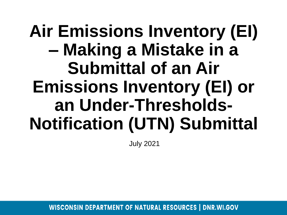## **Air Emissions Inventory (EI) – Making a Mistake in a Submittal of an Air Emissions Inventory (EI) or an Under-Thresholds-Notification (UTN) Submittal**

July 2021

**WISCONSIN DEPARTMENT OF NATURAL RESOURCES | DNR.WI.GOV**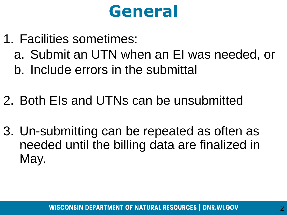#### **General**

- 1. Facilities sometimes:
	- a. Submit an UTN when an EI was needed, or
	- b. Include errors in the submittal
- 2. Both EIs and UTNs can be unsubmitted
- 3. Un-submitting can be repeated as often as needed until the billing data are finalized in May.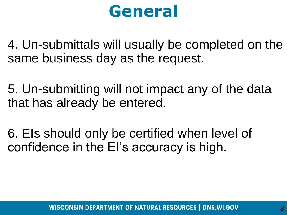#### **General**

4. Un-submittals will usually be completed on the same business day as the request.

5. Un-submitting will not impact any of the data that has already be entered.

6. EIs should only be certified when level of confidence in the EI's accuracy is high.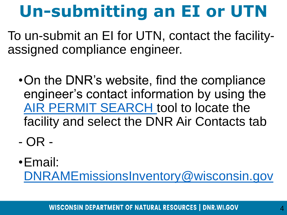# **Un-submitting an EI or UTN**

To un-submit an EI for UTN, contact the facilityassigned compliance engineer.

- •On the DNR's website, find the compliance engineer's contact information by using the [AIR PERMIT SEARCH t](https://dnr.wisconsin.gov/topic/AirPermits/Search.html)ool to locate the facility and select the DNR Air Contacts tab
- OR -
- •Email: [DNRAMEmissionsInventory@wisconsin.gov](mailto:DNRAMEmissionsInventory@wisconsin.gov)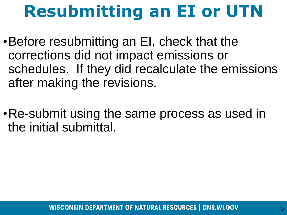## **Resubmitting an EI or UTN**

- •Before resubmitting an EI, check that the corrections did not impact emissions or schedules. If they did recalculate the emissions after making the revisions.
- •Re-submit using the same process as used in the initial submittal.